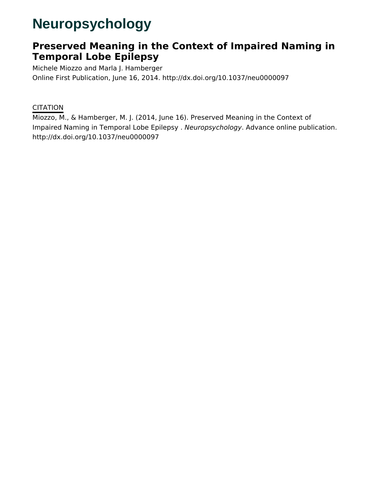# **Neuropsychology**

## **Preserved Meaning in the Context of Impaired Naming in Temporal Lobe Epilepsy**

Michele Miozzo and Marla J. Hamberger Online First Publication, June 16, 2014. http://dx.doi.org/10.1037/neu0000097

### **CITATION**

Miozzo, M., & Hamberger, M. J. (2014, June 16). Preserved Meaning in the Context of Impaired Naming in Temporal Lobe Epilepsy . Neuropsychology. Advance online publication. http://dx.doi.org/10.1037/neu0000097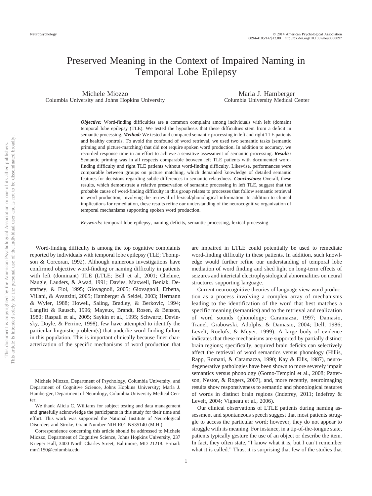### Preserved Meaning in the Context of Impaired Naming in Temporal Lobe Epilepsy

Michele Miozzo Columbia University and Johns Hopkins University

Marla J. Hamberger Columbia University Medical Center

*Objective:* Word-finding difficulties are a common complaint among individuals with left (domain) temporal lobe epilepsy (TLE). We tested the hypothesis that these difficulties stem from a deficit in semantic processing. *Method:* We tested and compared semantic processing in left and right TLE patients and healthy controls. To avoid the confound of word retrieval, we used two semantic tasks (semantic priming and picture-matching) that did not require spoken word production. In addition to accuracy, we recorded response time in an effort to achieve a sensitive assessment of semantic processing. *Results:* Semantic priming was in all respects comparable between left TLE patients with documented wordfinding difficulty and right TLE patients without word-finding difficulty. Likewise, performances were comparable between groups on picture matching, which demanded knowledge of detailed semantic features for decisions regarding subtle differences in semantic relatedness. *Conclusions:* Overall, these results, which demonstrate a relative preservation of semantic processing in left TLE, suggest that the probable cause of word-finding difficulty in this group relates to processes that follow semantic retrieval in word production, involving the retrieval of lexical/phonological information. In addition to clinical implications for remediation, these results refine our understanding of the neurocognitive organization of temporal mechanisms supporting spoken word production.

*Keywords:* temporal lobe epilepsy, naming deficits, semantic processing, lexical processing

Word-finding difficulty is among the top cognitive complaints reported by individuals with temporal lobe epilepsy (TLE; Thompson & Corcoran, 1992). Although numerous investigations have confirmed objective word-finding or naming difficulty in patients with left (dominant) TLE (LTLE; Bell et al., 2001; Chelune, Naugle, Lauders, & Awad, 1991; Davies, Maxwell, Beniak, Destafney, & Fiol, 1995; Giovagnoli, 2005; Giovagnoli, Erbetta, Villani, & Avanzini, 2005; Hamberger & Seidel, 2003; Hermann & Wyler, 1988; Howell, Saling, Bradley, & Berkovic, 1994; Langfitt & Rausch, 1996; Mayeux, Brandt, Rosen, & Benson, 1980; Raspall et al., 2005; Saykin et al., 1995; Schwartz, Devinsky, Doyle, & Perrine, 1998), few have attempted to identify the particular linguistic problem(s) that underlie word-finding failure in this population. This is important clinically because finer characterization of the specific mechanisms of word production that

1

are impaired in LTLE could potentially be used to remediate word-finding difficulty in these patients. In addition, such knowledge would further refine our understanding of temporal lobe mediation of word finding and shed light on long-term effects of seizures and interictal electrophysiological abnormalities on neural structures supporting language.

Current neurocognitive theories of language view word production as a process involving a complex array of mechanisms leading to the identification of the word that best matches a specific meaning (semantics) and to the retrieval and realization of word sounds (phonology; Caramazza, 1997; Damasio, Tranel, Grabowski, Adolphs, & Damasio, 2004; Dell, 1986; Levelt, Roelofs, & Meyer, 1999). A large body of evidence indicates that these mechanisms are supported by partially distinct brain regions; specifically, acquired brain deficits can selectively affect the retrieval of word semantics versus phonology (Hillis, Rapp, Romani, & Caramazza, 1990; Kay & Ellis, 1987), neurodegenerative pathologies have been shown to more severely impair semantics versus phonology (Gorno-Tempini et al., 2008; Patterson, Nestor, & Rogers, 2007), and, more recently, neuroimaging results show responsiveness to semantic and phonological features of words in distinct brain regions (Indefrey, 2011; Indefrey & Levelt, 2004; Vigneau et al., 2006).

Our clinical observations of LTLE patients during naming assessment and spontaneous speech suggest that most patients struggle to access the particular word; however, they do not appear to struggle with its meaning. For instance, in a tip-of-the-tongue state, patients typically gesture the use of an object or describe the item. In fact, they often state, "I know what it is, but I can't remember what it is called." Thus, it is surprising that few of the studies that

Michele Miozzo, Department of Psychology, Columbia University, and Department of Cognitive Science, Johns Hopkins University; Marla J. Hamberger, Department of Neurology, Columbia University Medical Center.

We thank Alicia C. Williams for subject testing and data management and gratefully acknowledge the participants in this study for their time and effort. This work was supported the National Institute of Neurological Disorders and Stroke, Grant Number NIH R01 NS35140 (M.H.).

Correspondence concerning this article should be addressed to Michele Miozzo, Department of Cognitive Science, Johns Hopkins University, 237 Krieger Hall, 3400 North Charles Street, Baltimore, MD 21218. E-mail: mm1150@columbia.edu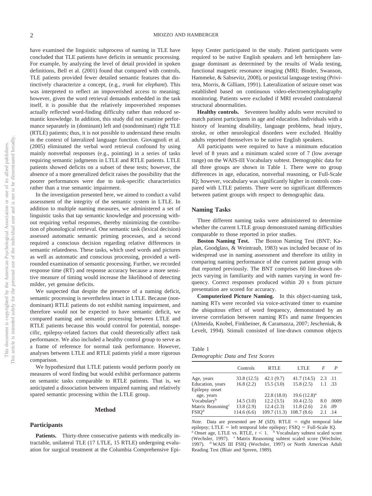have examined the linguistic subprocess of naming in TLE have concluded that TLE patients have deficits in semantic processing. For example, by analyzing the level of detail provided in spoken definitions, Bell et al. (2001) found that compared with controls, TLE patients provided fewer detailed semantic features that distinctively characterize a concept, (e.g., *trunk* for *elephant*). This was interpreted to reflect an impoverished access to meaning; however, given the word retrieval demands embedded in the task itself, it is possible that the relatively impoverished responses actually reflected word-finding difficulty rather than reduced semantic knowledge. In addition, this study did not examine performance separately in (dominant) left and (nondominant) right TLE (RTLE) patients; thus, it is not possible to understand these results in the context of lateralized language function. Giovagnoli et al. (2005) eliminated the verbal word retrieval confound by using mainly nonverbal responses (e.g., pointing) in a series of tasks requiring semantic judgments in LTLE and RTLE patients. LTLE patients showed deficits on a subset of these tests; however, the absence of a more generalized deficit raises the possibility that the poorer performances were due to task-specific characteristics rather than a true semantic impairment.

In the investigation presented here, we aimed to conduct a valid assessment of the integrity of the semantic system in LTLE. In addition to multiple naming measures, we administered a set of linguistic tasks that tap semantic knowledge and processing without requiring verbal responses, thereby minimizing the contribution of phonological retrieval. One semantic task (lexical decision) assessed automatic semantic priming processes, and a second required a conscious decision regarding relative differences in semantic relatedness. These tasks, which used words and pictures as well as automatic and conscious processing, provided a wellrounded examination of semantic processing. Further, we recorded response time (RT) and response accuracy because a more sensitive measure of timing would increase the likelihood of detecting milder, yet genuine deficits.

We suspected that despite the presence of a naming deficit, semantic processing is nevertheless intact in LTLE. Because (nondominant) RTLE patients do not exhibit naming impairment, and therefore would not be expected to have semantic deficit, we compared naming and semantic processing between LTLE and RTLE patients because this would control for potential, nonspecific, epilepsy-related factors that could theoretically affect task performance. We also included a healthy control group to serve as a frame of reference for normal task performance. However, analyses between LTLE and RTLE patients yield a more rigorous comparison.

We hypothesized that LTLE patients would perform poorly on measures of word finding but would exhibit performance patterns on semantic tasks comparable to RTLE patients. That is, we anticipated a dissociation between impaired naming and relatively spared semantic processing within the LTLE group.

#### **Method**

#### **Participants**

**Patients.** Thirty-three consecutive patients with medically intractable, unilateral TLE (17 LTLE, 15 RTLE) undergoing evaluation for surgical treatment at the Columbia Comprehensive Epilepsy Center participated in the study. Patient participants were required to be native English speakers and left hemisphere language dominant as determined by the results of Wada testing, functional magnetic resonance imaging (MRI; Binder, Swanson, Hammeke, & Sabsevitz, 2008), or postictal language testing (Privitera, Morris, & Gilliam, 1991). Lateralization of seizure onset was established based on continuous video-electroencephalography monitoring. Patients were excluded if MRI revealed contralateral structural abnormalities.

**Healthy controls.** Seventeen healthy adults were recruited to match patient participants in age and education. Individuals with a history of learning disability, language problems, head injury, stroke, or other neurological disorders were excluded. Healthy adults reported themselves to be native English speakers.

All participants were required to have a minimum education level of 8 years and a minimum scaled score of 7 (low average range) on the WAIS-III Vocabulary subtest. Demographic data for all three groups are shown in Table 1. There were no group differences in age, education, nonverbal reasoning, or Full-Scale IQ; however, vocabulary was significantly higher in controls compared with LTLE patients. There were no significant differences between patient groups with respect to demographic data.

#### **Naming Tasks**

Three different naming tasks were administered to determine whether the current LTLE group demonstrated naming difficulties comparable to those reported in prior studies.

**Boston Naming Test.** The Boston Naming Test (BNT; Kaplan, Goodglass, & Weintraub, 1983) was included because of its widespread use in naming assessment and therefore its utility in comparing naming performance of the current patient group with that reported previously. The BNT comprises 60 line-drawn objects varying in familiarity and with names varying in word frequency. Correct responses produced within 20 s from picture presentation are scored for accuracy.

**Computerized Picture Naming.** In this object-naming task, naming RTs were recorded via voice-activated timer to examine the ubiquitous effect of word frequency, demonstrated by an inverse correlation between naming RTs and name frequencies (Almeida, Knobel, Finkbeiner, & Caramazza, 2007; Jescheniak, & Levelt, 1994). Stimuli consisted of line-drawn common objects

Table 1 *Demographic Data and Test Scores*

|                               | Controls    | RTLE        | LTLE           | F       | P     |
|-------------------------------|-------------|-------------|----------------|---------|-------|
| Age, years                    | 33.8 (12.5) | 42.1(9.7)   | 41.7(14.5)     | 2.3 .11 |       |
| Education, years              | 16.8(2.2)   | 15.5(3.0)   | 15.8(2.5)      | 1.1 .33 |       |
| Epilepsy onset                |             |             |                |         |       |
| age, years                    |             | 22.8(18.0)  | $19.6(12.8)^a$ |         |       |
| Vocabulary <sup>b</sup>       | 14.5(3.0)   | 12.2(3.5)   | 10.4(2.5)      | 8.0     | .0009 |
| Matrix Reasoning <sup>c</sup> | 13.8(2.9)   | 12.4(2.3)   | 11.8(2.6)      | 2.6     | .09   |
| FSIO <sup>d</sup>             | 114.6(6.6)  | 109.7(11.3) | 108.7(8.6)     | 2.1     | .14   |

*Note*. Data are presented are  $M$  (*SD*). RTLE = right temporal lobe epilepsy; LTLE = left temporal lobe epilepsy; FSIQ = Full-Scale IQ.<br><sup>a</sup> Onset age, LTLE vs. RTLE, *t* < 1. <sup>b</sup> Vocabulary subtest scaled score (Wechsler, 1997). <sup>c</sup> Matrix Reasoning subtest scaled score (Wechsler, 1997). <sup>d</sup> WAIS III FSIQ (Wechsler, 1997) or North American Adult Reading Test (Blair and Spreen, 1989).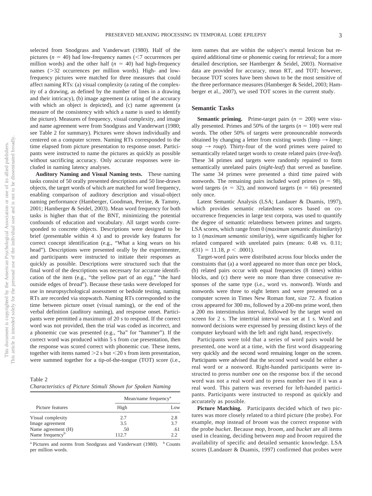selected from Snodgrass and Vanderwart (1980). Half of the pictures  $(n = 40)$  had low-frequency names ( $\leq 7$  occurrences per million words) and the other half  $(n = 40)$  had high-frequency names ( $>$ 32 occurrences per million words). High- and lowfrequency pictures were matched for three measures that could affect naming RTs: (a) visual complexity (a rating of the complexity of a drawing, as defined by the number of lines in a drawing and their intricacy), (b) image agreement (a rating of the accuracy with which an object is depicted), and (c) name agreement (a measure of the consistency with which a name is used to identify the picture). Measures of frequency, visual complexity, and image and name agreement were from Snodgrass and Vanderwart (1980; see Table 2 for summary). Pictures were shown individually and centered on a computer screen. Naming RTs corresponded to the time elapsed from picture presentation to response onset. Participants were instructed to name the pictures as quickly as possible without sacrificing accuracy. Only accurate responses were included in naming latency analyses.

**Auditory Naming and Visual Naming tests.** These naming tasks consist of 50 orally presented descriptions and 50 line-drawn objects, the target words of which are matched for word frequency, enabling comparison of auditory description and visual-object naming performance (Hamberger, Goodman, Perrine, & Tammy, 2001; Hamberger & Seidel, 2003). Mean word frequency for both tasks is higher than that of the BNT, minimizing the potential confounds of education and vocabulary. All target words corresponded to concrete objects. Descriptions were designed to be brief (presentable within 4 s) and to provide key features for correct concept identification (e.g., "What a king wears on his head"). Descriptions were presented orally by the experimenter, and participants were instructed to initiate their responses as quickly as possible. Descriptions were structured such that the final word of the descriptions was necessary for accurate identification of the item (e.g., "the yellow part of an *egg*," "the hard outside edges of *bread*"). Because these tasks were developed for use in neuropsychological assessment or bedside testing, naming RTs are recorded via stopwatch. Naming RTs corresponded to the time between picture onset (visual naming), or the end of the verbal definition (auditory naming), and response onset. Participants were permitted a maximum of 20 s to respond. If the correct word was not provided, then the trial was coded as incorrect, and a phonemic cue was presented (e.g., "ha" for "hammer"). If the correct word was produced within 5 s from cue presentation, then the response was scored correct with phonemic cue. These items, together with items named  $>2$  s but  $<$ 20 s from item presentation, were summed together for a tip-of-the-tongue (TOT) score (i.e.,

Table 2 *Characteristics of Picture Stimuli Shown for Spoken Naming*

|                             | Mean/name frequency <sup>a</sup> |     |  |
|-----------------------------|----------------------------------|-----|--|
| Picture features            | High                             | Low |  |
| Visual complexity           | 2.7                              | 2.8 |  |
| Image agreement             | 3.5                              | 3.7 |  |
| Name agreement (H)          | .50                              | .61 |  |
| Name frequency <sup>b</sup> | 112.7                            | うう  |  |

<sup>a</sup> Pictures and norms from Snodgrass and Vanderwart (1980). <sup>b</sup> Counts per million words.

item names that are within the subject's mental lexicon but required additional time or phonemic cueing for retrieval; for a more detailed description, see Hamberger & Seidel, 2003). Normative data are provided for accuracy, mean RT, and TOT; however, because TOT scores have been shown to be the most sensitive of the three performance measures (Hamberger & Seidel, 2003; Hamberger et al., 2007), we used TOT scores in the current study.

#### **Semantic Tasks**

**Semantic priming.** Prime-target pairs  $(n = 200)$  were visually presented. Primes and 50% of the targets  $(n = 100)$  were real words. The other 50% of targets were pronounceable nonwords obtained by changing a letter from existing words (limp  $\rightarrow$  *kimp*; soup  $\rightarrow$  *roup*). Thirty-four of the word primes were paired to semantically related target words to create related pairs (*tree-leaf*). These 34 primes and targets were randomly repaired to form semantically unrelated pairs (*night-leaf*) that served as baseline. The same 34 primes were presented a third time paired with nonwords. The remaining pairs included word primes  $(n = 98)$ , word targets  $(n = 32)$ , and nonword targets  $(n = 66)$  presented only once.

Latent Semantic Analysis (LSA; Landauer & Duamis, 1997), which provides semantic relatedness scores based on cooccurrence frequencies in large text corpora, was used to quantify the degree of semantic relatedness between primes and targets. LSA scores, which range from 0 (*maximum semantic dissimilarity*) to 1 (*maximum semantic similarity*), were significantly higher for related compared with unrelated pairs (means: 0.48 vs. 0.11;  $t(31) = 11.18, p < .0001$ .

Target-word pairs were distributed across four blocks under the constraints that (a) a word appeared no more than once per block, (b) related pairs occur with equal frequencies (8 times) within blocks, and (c) there were no more than three consecutive responses of the same type (i.e., word vs. nonword). Words and nonwords were three to eight letters and were presented on a computer screen in Times New Roman font, size 72. A fixation cross appeared for 300 ms, followed by a 200-ms prime word, then a 200 ms interstimulus interval, followed by the target word on screen for 2 s. The intertrial interval was set at 1 s. Word and nonword decisions were expressed by pressing distinct keys of the computer keyboard with the left and right hand, respectively.

Participants were told that a series of word pairs would be presented, one word at a time, with the first word disappearing very quickly and the second word remaining longer on the screen. Participants were advised that the second word would be either a real word or a nonword. Right-handed participants were instructed to press number *one* on the response box if the second word was not a real word and to press number *two* if it was a real word. This pattern was reversed for left-handed participants. Participants were instructed to respond as quickly and accurately as possible.

**Picture Matching.** Participants decided which of two pictures was more closely related to a third picture (the probe). For example, *mop* instead of *broom* was the correct response with the probe *bucket*. Because *mop*, *broom*, and *bucket* are all items used in cleaning, deciding between *mop* and *broom* required the availability of specific and detailed semantic knowledge. LSA scores (Landauer & Duamis, 1997) confirmed that probes were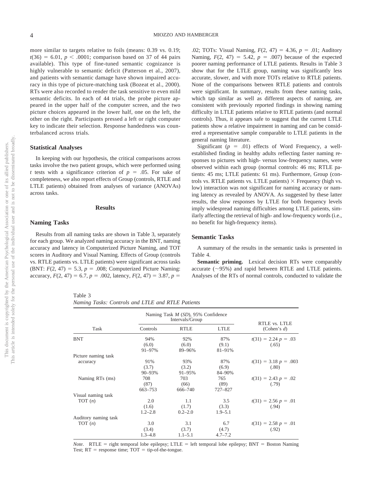more similar to targets relative to foils (means: 0.39 vs. 0.19;  $t(36) = 6.01, p < .0001$ ; comparison based on 37 of 44 pairs available). This type of fine-tuned semantic cognizance is highly vulnerable to semantic deficit (Patterson et al., 2007), and patients with semantic damage have shown impaired accuracy in this type of picture-matching task (Bozeat et al., 2000). RTs were also recorded to render the task sensitive to even mild semantic deficits. In each of 44 trials, the probe picture appeared in the upper half of the computer screen, and the two picture choices appeared in the lower half, one on the left, the other on the right. Participants pressed a left or right computer key to indicate their selection. Response handedness was counterbalanced across trials.

#### **Statistical Analyses**

In keeping with our hypothesis, the critical comparisons across tasks involve the two patient groups, which were performed using *t* tests with a significance criterion of  $p = .05$ . For sake of completeness, we also report effects of Group (controls, RTLE and LTLE patients) obtained from analyses of variance (ANOVAs) across tasks.

#### **Results**

#### **Naming Tasks**

Results from all naming tasks are shown in Table 3, separately for each group. We analyzed naming accuracy in the BNT, naming accuracy and latency in Computerized Picture Naming, and TOT scores in Auditory and Visual Naming. Effects of Group (controls vs. RTLE patients vs. LTLE patients) were significant across tasks (BNT:  $F(2, 47) = 5.3$ ,  $p = .008$ ; Computerized Picture Naming:  $\text{accuracy}, F(2, 47) = 6.7, p = .002, \text{latency}, F(2, 47) = 3.87, p =$ 

| Table 3                                           |  |  |
|---------------------------------------------------|--|--|
| Naming Tasks: Controls and LTLE and RTLE Patients |  |  |

|                      |             | Naming Task <i>M</i> ( <i>SD</i> ), 95% Confidence<br>Intervals/Group |             |                                 |
|----------------------|-------------|-----------------------------------------------------------------------|-------------|---------------------------------|
| Task                 | Controls    | <b>RTLE</b>                                                           | <b>LTLE</b> | RTLE vs. LTLE<br>(Cohen's $d$ ) |
| <b>BNT</b>           | 94%         | 92%                                                                   | 87%         | $t(31) = 2.24 p = .03$          |
|                      | (6.0)       | (6.0)                                                                 | (9.1)       | (.65)                           |
|                      | 91-97%      | 89-96%                                                                | 81-91%      |                                 |
| Picture naming task  |             |                                                                       |             |                                 |
| accuracy             | 91%         | 93%                                                                   | 87%         | $t(31) = 3.18 p = .003$         |
|                      | (3.7)       | (3.2)                                                                 | (6.9)       | (.80)                           |
|                      | 90-93%      | 91-95%                                                                | 84–90%      |                                 |
| Naming RTs (ms)      | 708         | 703                                                                   | 765         | $t(31) = 2.43 p = .02$          |
|                      | (87)        | (66)                                                                  | (89)        | (.79)                           |
|                      | 663-753     | 666-740                                                               | 727-827     |                                 |
| Visual naming task   |             |                                                                       |             |                                 |
| TOT(n)               | 2.0         | 1.1                                                                   | 3.5         | $t(31) = 2.56 p = .01$          |
|                      | (1.6)       | (1.7)                                                                 | (3.3)       | (.94)                           |
|                      | $1.2 - 2.8$ | $0.2 - 2.0$                                                           | $1.9 - 5.1$ |                                 |
| Auditory naming task |             |                                                                       |             |                                 |
| TOT(n)               | 3.0         | 3.1                                                                   | 6.7         | $t(31) = 2.58 p = .01$          |
|                      | (3.4)       | (3.7)                                                                 | (4.7)       | (.92)                           |
|                      | $1.3 - 4.8$ | $1.1 - 5.1$                                                           | $4.7 - 7.2$ |                                 |

*Note.* RTLE = right temporal lobe epilepsy; LTLE = left temporal lobe epilepsy; BNT = Boston Naming Test;  $RT$  = response time;  $TOT$  = tip-of-the-tongue.

.02; TOTs: Visual Naming,  $F(2, 47) = 4.36$ ,  $p = .01$ ; Auditory Naming,  $F(2, 47) = 5.42$ ,  $p = .007$ ) because of the expected poorer naming performance of LTLE patients. Results in Table 3 show that for the LTLE group, naming was significantly less accurate, slower, and with more TOTs relative to RTLE patients. None of the comparisons between RTLE patients and controls were significant. In summary, results from these naming tasks, which tap similar as well as different aspects of naming, are consistent with previously reported findings in showing naming difficulty in LTLE patients relative to RTLE patients (and normal controls). Thus, it appears safe to suggest that the current LTLE patients show a relative impairment in naming and can be considered a representative sample comparable to LTLE patients in the general naming literature.

Significant  $(p = .01)$  effects of Word Frequency, a wellestablished finding in healthy adults reflecting faster naming responses to pictures with high- versus low-frequency names, were observed within each group (normal controls: 46 ms; RTLE patients: 45 ms; LTLE patients: 61 ms). Furthermore, Group (controls vs. RTLE patients vs. LTLE patients)  $\times$  Frequency (high vs. low) interaction was not significant for naming accuracy or naming latency as revealed by ANOVA. As suggested by these latter results, the slow responses by LTLE for both frequency levels imply widespread naming difficulties among LTLE patients, similarly affecting the retrieval of high- and low-frequency words (i.e., no benefit for high-frequency items).

#### **Semantic Tasks**

A summary of the results in the semantic tasks is presented in Table 4.

**Semantic priming.** Lexical decision RTs were comparably accurate  $(\sim 95\%)$  and rapid between RTLE and LTLE patients. Analyses of the RTs of normal controls, conducted to validate the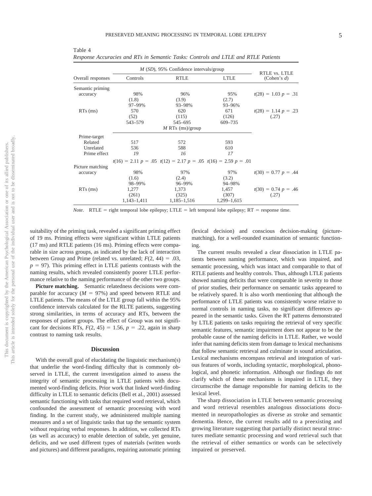|                   | $M(SD)$ , 95% Confidence intervals/group |                                                                            |             |                                 |  |
|-------------------|------------------------------------------|----------------------------------------------------------------------------|-------------|---------------------------------|--|
| Overall responses | Controls                                 | <b>RTLE</b>                                                                | <b>LTLE</b> | RTLE vs. LTLE<br>(Cohen's $d$ ) |  |
| Semantic priming  |                                          |                                                                            |             |                                 |  |
| accuracy          | 98%                                      | 96%                                                                        | 95%         | $t(28) = 1.03$ $p = .31$        |  |
|                   | (1.8)                                    | (3.9)                                                                      | (2.7)       |                                 |  |
|                   | 97–99%                                   | 93–98%                                                                     | 93-96%      |                                 |  |
| $RTs$ (ms)        | 570                                      | 620                                                                        | 671         | $t(28) = 1.14 p = .23$          |  |
|                   | (52)                                     | (115)                                                                      | (126)       | (.27)                           |  |
|                   | 543-579                                  | 545-695                                                                    | 609-735     |                                 |  |
|                   |                                          | $M$ RTs (ms)/group                                                         |             |                                 |  |
| Prime-target      |                                          |                                                                            |             |                                 |  |
| Related           | 517                                      | 572                                                                        | 593         |                                 |  |
| Unrelated         | 536                                      | 588                                                                        | 610         |                                 |  |
| Prime effect      | 19                                       | 16                                                                         | 17          |                                 |  |
|                   |                                          | $t(16) = 2.11$ $p = .05$ $t(12) = 2.17$ $p = .05$ $t(16) = 2.59$ $p = .01$ |             |                                 |  |
| Picture matching  |                                          |                                                                            |             |                                 |  |
| accuracy          | 98%                                      | 97%                                                                        | 97%         | $t(30) = 0.77$ $p = .44$        |  |
|                   | (1.6)                                    | (2.4)                                                                      | (3.2)       |                                 |  |
|                   | 98-99%                                   | 96-99%                                                                     | 94-98%      |                                 |  |
| $RTs$ (ms)        | 1,277                                    | 1,373                                                                      | 1,457       | $t(30) = 0.74$ $p = .46$        |  |
|                   | (261)                                    | (325)                                                                      | (307)       | (.27)                           |  |
|                   | $1,143 - 1,411$                          | $1,185 - 1,516$                                                            | 1,299-1,615 |                                 |  |

Table 4 *Response Accuracies and RTs in Semantic Tasks: Controls and LTLE and RTLE Patients*

*Note.* RTLE = right temporal lobe epilepsy; LTLE = left temporal lobe epilepsy; RT = response time.

suitability of the priming task, revealed a significant priming effect of 19 ms. Priming effects were significant within LTLE patients (17 ms) and RTLE patients (16 ms). Priming effects were comparable in size across groups, as indicated by the lack of interaction between Group and Prime (related vs. unrelated;  $F(2, 44) = .03$ ,  $p = 97$ ). This priming effect in LTLE patients contrasts with the naming results, which revealed consistently poorer LTLE performance relative to the naming performance of the other two groups.

**Picture matching.** Semantic relatedness decisions were comparable for accuracy  $(M = 97%)$  and speed between RTLE and LTLE patients. The means of the LTLE group fall within the 95% confidence intervals calculated for the RLTE patients, suggesting strong similarities, in terms of accuracy and RTs, between the responses of patient groups. The effect of Group was not significant for decisions RTs,  $F(2, 45) = 1.56$ ,  $p = .22$ , again in sharp contrast to naming task results.

#### **Discussion**

With the overall goal of elucidating the linguistic mechanism(s) that underlie the word-finding difficulty that is commonly observed in LTLE, the current investigation aimed to assess the integrity of semantic processing in LTLE patients with documented word-finding deficits. Prior work that linked word-finding difficulty in LTLE to semantic deficits (Bell et al., 2001) assessed semantic functioning with tasks that required word retrieval, which confounded the assessment of semantic processing with word finding. In the current study, we administered multiple naming measures and a set of linguistic tasks that tap the semantic system without requiring verbal responses. In addition, we collected RTs (as well as accuracy) to enable detection of subtle, yet genuine, deficits, and we used different types of materials (written words and pictures) and different paradigms, requiring automatic priming

(lexical decision) and conscious decision-making (picturematching), for a well-rounded examination of semantic functioning.

The current results revealed a clear dissociation in LTLE patients between naming performance, which was impaired, and semantic processing, which was intact and comparable to that of RTLE patients and healthy controls. Thus, although LTLE patients showed naming deficits that were comparable in severity to those of prior studies, their performance on semantic tasks appeared to be relatively spared. It is also worth mentioning that although the performance of LTLE patients was consistently worse relative to normal controls in naming tasks, no significant differences appeared in the semantic tasks. Given the RT patterns demonstrated by LTLE patients on tasks requiring the retrieval of very specific semantic features, semantic impairment does not appear to be the probable cause of the naming deficits in LTLE. Rather, we would infer that naming deficits stem from damage to lexical mechanisms that follow semantic retrieval and culminate in sound articulation. Lexical mechanisms encompass retrieval and integration of various features of words, including syntactic, morphological, phonological, and phonetic information. Although our findings do not clarify which of these mechanisms is impaired in LTLE, they circumscribe the damage responsible for naming deficits to the lexical level.

The sharp dissociation in LTLE between semantic processing and word retrieval resembles analogous dissociations documented in neuropathologies as diverse as stroke and semantic dementia. Hence, the current results add to a preexisting and growing literature suggesting that partially distinct neural structures mediate semantic processing and word retrieval such that the retrieval of either semantics or words can be selectively impaired or preserved.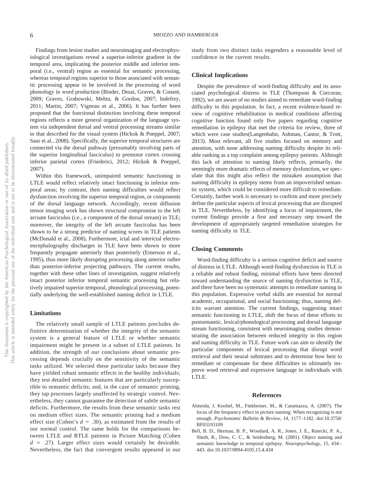Findings from lesion studies and neuroimaging and electrophysiological investigations reveal a superior-inferior gradient in the temporal area, implicating the posterior middle and inferior temporal (i.e., ventral) region as essential for semantic processing, whereas temporal regions superior to those associated with semantic processing appear to be involved in the processing of word phonology in word production (Binder, Desai, Graves, & Conant, 2009; Graves, Grabowski, Mehta, & Gordon, 2007; Indefrey, 2011; Martin, 2007; Vigneau et al., 2006). It has further been proposed that the functional distinction involving these temporal regions reflects a more general organization of the language system via independent dorsal and ventral processing streams similar to that described for the visual system (Hickok & Poeppel, 2007; Saur et al., 2008). Specifically, the superior temporal structures are connected via the dorsal pathway (presumably involving parts of the superior longitudinal fasciculus) to premotor cortex crossing inferior parietal cortex (Friederici, 2012; Hickok & Poeppel, 2007).

Within this framework, unimpaired semantic functioning in LTLE would reflect relatively intact functioning in inferior temporal areas; by contrast, their naming difficulties would reflect dysfunction involving the superior temporal region, or components of the dorsal language network. Accordingly, recent diffusion tensor imaging work has shown structural compromise to the left arcuate fasciculus (i.e., a component of the dorsal stream) in TLE; moreover, the integrity of the left arcuate fasciculus has been shown to be a strong predictor of naming scores in TLE patients (McDonald et al., 2008). Furthermore, ictal and interictal electroencephalography discharges in TLE have been shown to more frequently propagate anteriorly than posteriorly (Emerson et al., 1995), thus more likely disrupting processing along anterior rather than posterior-inferior projecting pathways. The current results, together with these other lines of investigation, suggest relatively intact posterior inferior temporal semantic processing but relatively impaired superior temporal, phonological processing, potentially underlying the well-established naming deficit in LTLE.

#### **Limitations**

The relatively small sample of LTLE patients precludes definitive determination of whether the integrity of the semantic system is a general feature of LTLE or whether semantic impairment might be present in a subset of LTLE patients. In addition, the strength of our conclusions about semantic processing depends crucially on the sensitivity of the semantic tasks utilized. We selected these particular tasks because they have yielded robust semantic effects in the healthy individuals; they test detailed semantic features that are particularly susceptible to semantic deficits; and, in the case of semantic priming, they tap processes largely unaffected by strategic control. Nevertheless, they cannot guarantee the detection of subtle semantic deficits. Furthermore, the results from these semantic tasks rest on medium effect sizes. The semantic priming had a medium effect size (Cohen's  $d = .30$ ), as estimated from the results of our normal control. The same holds for the comparisons between LTLE and RTLE patients in Picture Matching (Cohen  $d = .27$ ). Larger effect sizes would certainly be desirable. Nevertheless, the fact that convergent results appeared in our study from two distinct tasks engenders a reasonable level of confidence in the current results.

#### **Clinical Implications**

Despite the prevalence of word-finding difficulty and its associated psychological distress in TLE (Thompson & Corcoran, 1992), we are aware of no studies aimed to remediate word-finding difficulty in this population. In fact, a recent evidence-based review of cognitive rehabilitation in medical conditions affecting cognitive function found only five papers regarding cognitive remediation in epilepsy that met the criteria for review, three of which were case studies(Langenbahn, Ashman, Cantor, & Trott, 2013). Most relevant, all five studies focused on memory and attention, with none addressing naming difficulty despite its reliable ranking as a top complaint among epilepsy patients. Although this lack of attention to naming likely reflects, primarily, the seemingly more dramatic effects of memory dysfunction, we speculate that this might also reflect the mistaken assumption that naming difficulty in epilepsy stems from an impoverished semantic system, which could be considered more difficult to remediate. Certainly, further work is necessary to confirm and more precisely define the particular aspects of lexical processing that are disrupted in TLE. Nevertheless, by identifying a locus of impairment, the current findings provide a first and necessary step toward the development of appropriately targeted remediation strategies for naming difficulty in TLE.

#### **Closing Comments**

Word-finding difficulty is a serious cognitive deficit and source of distress in LTLE. Although word-finding dysfunction in TLE is a reliable and robust finding, minimal efforts have been directed toward understanding the source of naming dysfunction in TLE, and there have been no systematic attempts to remediate naming in this population. Expressive verbal skills are essential for normal academic, occupational, and social functioning; thus, naming deficits warrant attention. The current findings, suggesting intact semantic functioning in LTLE, shift the focus of these efforts to postsemantic, lexical/phonological processing and dorsal language stream functioning, consistent with neuroimaging studies demonstrating the association between reduced integrity in this region and naming difficulty in TLE. Future work can aim to identify the particular components of lexical processing that disrupt word retrieval and their neural substrates and to determine how best to remediate or compensate for these difficulties to ultimately improve word retrieval and expressive language in individuals with LTLE.

#### **References**

- Almeida, J. Knobel, M., Finkbeiner, M., & Caramazza, A. (2007). The locus of the frequency effect in picture naming: When recognizing is not enough. *Psychonomic Bulletin & Review, 14,* 1177–1182. doi:10.3758/ BF03193109
- Bell, B. D., Herman, B. P., Woodard, A. R., Jones, J. E., Rutecki, P. A., Sheth, R., Dow, C. C., & Seidenberg, M. (2001). Object naming and semantic knowledge in temporal epilepsy. *Neuropsychology, 15,* 434 – 443. doi:10.1037/0894-4105.15.4.434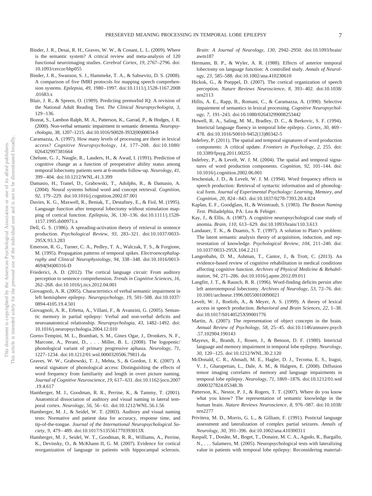- Binder, J. R., Desai, R. H., Graves, W. W., & Conant, L. L. (2009). Where is the semantic system? A critical review and meta-analysis of 120 functional neuroimaging studies. *Cerebral Cortex, 19,* 2767–2796. doi: 10.1093/cercor/bhp055
- Binder, J. R., Swanson, S. J., Hammeke, T. A., & Sabsevitz, D. S. (2008). A comparison of five fMRI protocols for mapping speech comprehension systems. *Epilepsia, 49,* 1980 –1997. doi:10.1111/j.1528-1167.2008 .01683.x
- Blair, J. R., & Spreen, O. (1989). Predicting premorbid IQ: A revision of the National Adult Reading Test. *The Clinical Neuropsychologist, 3,* 129 –136.
- Bozeat, S., Lambon Ralph, M. A., Patterson, K., Garrad, P., & Hodges, J. R. (2000). Non-verbal semantic impairment in semantic dementia. *Neuropsychologia, 38,* 1207–1215. doi:10.1016/S0028-3932(00)00034-8
- Caramazza, A. (1997). How many levels of processing are there in lexical access? *Cognitive Neuropsychology, 14,* 177–208. doi:10.1080/ 026432997381664
- Chelune, G. J., Naugle, R., Lauders, H., & Awad, I. (1991). Prediction of cognitive change as a function of preoperative ability status among temporal lobectomy patients seen at 6-months follow-up. *Neurology, 41,* 399 – 404. doi:10.1212/WNL.41.3.399
- Damasio, H., Tranel, D., Grabowski, T., Adolphs, R., & Damasio, A. (2004). Neural systems behind word and concept retrieval. *Cognition, 92,* 179 –229. doi:10.1016/j.cognition.2002.07.001
- Davies, K. G., Maxwell, R., Beniak, T., Destafney, E., & Fiol, M. (1995). Language function after temporal lobectomy without stimulation mapping of cortical function. *Epilepsia, 36,* 130 –136. doi:10.1111/j.1528- 1157.1995.tb00971.x
- Dell, G. S. (1986). A spreading-activation theory of retrieval in sentence production. *Psychological Review, 93,* 283–321. doi:10.1037/0033- 295X.93.3.283
- Emerson, R. G., Turner, C. A., Pedley, T. A., Walczak, T. S., & Forgione, M. (1995). Propagation patterns of temporal spikes. *Electroencephalography and Clinical Neurophysiology, 94,* 338 –348. doi:10.1016/0013- 4694(94)00316-D
- Friederici, A. D. (2012). The cortical language circuit: From auditory perception to sentence comprehension. *Trends in Cognitive Sciences, 16,* 262–268. doi:10.1016/j.tics.2012.04.001
- Giovagnoli, A. R. (2005). Characteristics of verbal semantic impairment in left hemisphere epilepsy. *Neuropsychology, 19,* 501–508. doi:10.1037/ 0894-4105.19.4.501
- Giovagnoli, A. R., Erbetta, A., Villani, F., & Avanzini, G. (2005). Semantic memory in partial epilepsy: Verbal and non-verbal deficits and neuroanatomical relationship. *Neuropsychologia, 43,* 1482–1492. doi: 10.1016/j.neuropsychologia.2004.12.010
- Gorno-Tempini, M. L., Brambati, S. M., Ginex Ogar, J., Dronkers, N. F., Marcone, A., Perani, D., ... Miller, B. L. (2008). The logopenic/ phonological variant of primary progressive aphasia. *Neurology, 71,* 1227–1234. doi:10.1212/01.wnl.0000320506.79811.da
- Graves, W. W., Grabowski, T. J., Mehta, S., & Gordon, J. K. (2007). A neural signature of phonological access: Distinguishing the effects of word frequency from familiarity and length in overt picture naming. *Journal of Cognitive Neuroscience, 19,* 617– 631. doi:10.1162/jocn.2007 .19.4.617
- Hamberger, M. J., Goodman, R. R., Perrine, K., & Tammy, T. (2001). Anatomical dissociation of auditory and visual naming in lateral temporal cortex. *Neurology, 56,* 56 – 61. doi:10.1212/WNL.56.1.56
- Hamberger, M. J., & Seidel, W. T. (2003). Auditory and visual naming tests: Normative and patient data for accuracy, response time, and tip-of-the-tongue. *Journal of the International Neuropsychological Society, 9,* 479 – 489. doi:10.1017/S135561770393013X
- Hamberger, M. J., Seidel, W. T., Goodman, R. R., Williams, A., Perrine, K., Devinsky, O., & McKhann II, G. M. (2007). Evidence for cortical reorganization of language in patients with hippocampal sclerosis.

*Brain: A Journal of Neurology, 130,* 2942–2950. doi:10.1093/brain/ awm187

- Hermann, B. P., & Wyler, A. R. (1988). Effects of anterior temporal lobectomy on language function: A controlled study. *Annals of Neurology, 23,* 585–588. doi:10.1002/ana.410230610
- Hickok, G., & Poeppel, D. (2007). The cortical organization of speech perception. *Nature Reviews Neuroscience, 8,* 393– 402. doi:10.1038/ nrn2113
- Hillis, A. E., Rapp, B., Romani, C., & Caramazza, A. (1990). Selective impairment of semantics in lexical processing. *Cognitive Neuropsychology, 7,* 191–243. doi:10.1080/02643299008253442
- Howell, R. A., Saling, M. M., Bradley, D. C., & Berkovic, S. F. (1994). Interictal language fluency in temporal lobe epilepsy. *Cortex, 30,* 469 – 478. doi:10.1016/S0010-9452(13)80342-5
- Indefrey, P. (2011). The spatial and temporal signatures of word production components: A critical update. *Frontiers in Psychology, 2,* 255. doi: 10.3389/fpsyg.2011.00255
- Indefrey, P., & Levelt, W. J. M. (2004). The spatial and temporal signatures of word production components. *Cognition, 92,* 101–144. doi: 10.1016/j.cognition.2002.06.001
- Jescheniak, J. D., & Levelt, W. J. M. (1994). Word frequency effects in speech production: Retrieval of syntactic information and of phonological form. *Journal of Experimental Psychology: Learning, Memory, and Cognition, 20,* 824 – 843. doi:10.1037/0278-7393.20.4.824
- Kaplan, E. F., Goodglass, H., & Weintraub, S. (1983). *The Boston Naming Test*. Philadelphia, PA: Lea & Febiger.
- Kay, J., & Ellis, A. (1987). A cognitive neuropsychological case study of anomia. *Brain, 110,* 613– 629. doi:10.1093/brain/110.3.613
- Landauer, T. K., & Duamis, S. T. (1997). A solution to Plato's problem: The latent semantic analysis theory of acquisition, induction, and representation of knowledge. *Psychological Review, 104,* 211–240. doi: 10.1037/0033-295X.104.2.211
- Langenbahn, D. M., Ashman, T., Cantor, J., & Trott, C. (2013). An evidence-based review of cognitive rehabilitation in medical conditions affecting cognitive function. *Archives of Physical Medicine & Rehabilitation, 94,* 271–286. doi:10.1016/j.apmr.2012.09.011
- Langfitt, J. T., & Rausch, R. R. (1996). Word-finding deficits persist after left anterotemporal lobectomy. *Archives of Neurology, 53,* 72–76. doi: 10.1001/archneur.1996.00550010090021
- Levelt, W. J., Roelofs, A., & Meyer, A. S. (1999). A theory of lexical access in speech production. *Behavioral and Brain Sciences, 22,* 1–38. doi:10.1017/S0140525X99001776
- Martin, A. (2007). The representation of object concepts in the brain. *Annual Review of Psychology, 58,* 25– 45. doi:10.1146/annurev.psych .57.102904.190143
- Mayeux, R., Brandt, J., Rosen, J., & Benson, D. F. (1980). Interictal language and memory impairment in temporal lobe epilepsy. *Neurology, 30,* 120 –125. doi:10.1212/WNL.30.2.120
- McDonald, C. R., Ahmadi, M. E., Hagler, D. J., Tecoma, E. S., Iragui, V. J., Gharapetian, L., Dale, A. M., & Halgren, E. (2008). Diffusion tensor imaging correlates of memory and language impairments in temporal lobe epilepsy. *Neurology, 71,* 1869 –1876. doi:10.1212/01.wnl .0000327824.05348.3b
- Patterson, K., Nestor, P. J., & Rogers, T. T. (2007). Where do you know what you know? The representation of semantic knowledge in the human brain. *Nature Reviews Neuroscience, 8,* 976 –987. doi:10.1038/ nrn2277
- Privitera, M. D., Morris, G. L., & Gilliam, F. (1991). Postictal language assessment and lateralization of complex partial seizures. *Annals of Neurology, 30,* 391–396. doi:10.1002/ana.410300311
- Raspall, T., Donãte, M., Boget, T., Donaire, M. C. A., Agudo, R., Bargallo, N., . . . Salamero, M. (2005). Neuropsychological tests with lateralizing value in patients with temporal lobe epilepsy: Reconsidering material-